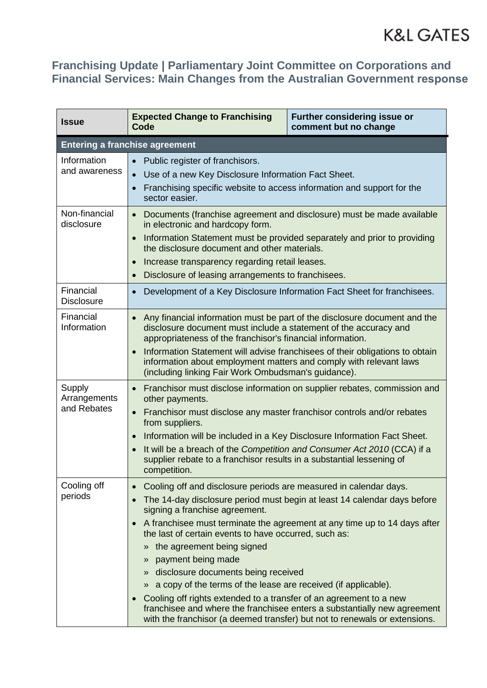| <b>Issue</b>                          | <b>Expected Change to Franchising</b><br>Code                                                                                                                                                                                                                                                                                                                                                                                                                      | Further considering issue or<br>comment but no change                                                                                                                                                                                                                                                                                                                                                                                                                                                                                                                                                                            |  |  |
|---------------------------------------|--------------------------------------------------------------------------------------------------------------------------------------------------------------------------------------------------------------------------------------------------------------------------------------------------------------------------------------------------------------------------------------------------------------------------------------------------------------------|----------------------------------------------------------------------------------------------------------------------------------------------------------------------------------------------------------------------------------------------------------------------------------------------------------------------------------------------------------------------------------------------------------------------------------------------------------------------------------------------------------------------------------------------------------------------------------------------------------------------------------|--|--|
| <b>Entering a franchise agreement</b> |                                                                                                                                                                                                                                                                                                                                                                                                                                                                    |                                                                                                                                                                                                                                                                                                                                                                                                                                                                                                                                                                                                                                  |  |  |
| Information<br>and awareness          | Public register of franchisors.<br>$\bullet$<br>Use of a new Key Disclosure Information Fact Sheet.<br>Franchising specific website to access information and support for the<br>$\bullet$<br>sector easier.                                                                                                                                                                                                                                                       |                                                                                                                                                                                                                                                                                                                                                                                                                                                                                                                                                                                                                                  |  |  |
| Non-financial<br>disclosure           | Documents (franchise agreement and disclosure) must be made available<br>$\bullet$<br>in electronic and hardcopy form.<br>Information Statement must be provided separately and prior to providing<br>the disclosure document and other materials.<br>Increase transparency regarding retail leases.<br>Disclosure of leasing arrangements to franchisees.                                                                                                         |                                                                                                                                                                                                                                                                                                                                                                                                                                                                                                                                                                                                                                  |  |  |
| Financial<br><b>Disclosure</b>        | Development of a Key Disclosure Information Fact Sheet for franchisees.                                                                                                                                                                                                                                                                                                                                                                                            |                                                                                                                                                                                                                                                                                                                                                                                                                                                                                                                                                                                                                                  |  |  |
| Financial<br>Information              | Any financial information must be part of the disclosure document and the<br>$\bullet$<br>disclosure document must include a statement of the accuracy and<br>appropriateness of the franchisor's financial information.<br>Information Statement will advise franchisees of their obligations to obtain<br>information about employment matters and comply with relevant laws<br>(including linking Fair Work Ombudsman's guidance).                              |                                                                                                                                                                                                                                                                                                                                                                                                                                                                                                                                                                                                                                  |  |  |
| Supply<br>Arrangements<br>and Rebates | Franchisor must disclose information on supplier rebates, commission and<br>$\bullet$<br>other payments.<br>Franchisor must disclose any master franchisor controls and/or rebates<br>$\bullet$<br>from suppliers.<br>Information will be included in a Key Disclosure Information Fact Sheet.<br>It will be a breach of the Competition and Consumer Act 2010 (CCA) if a<br>supplier rebate to a franchisor results in a substantial lessening of<br>competition. |                                                                                                                                                                                                                                                                                                                                                                                                                                                                                                                                                                                                                                  |  |  |
| Cooling off<br>periods                | signing a franchise agreement.<br>» the agreement being signed<br>payment being made<br>$\mathcal{P}$                                                                                                                                                                                                                                                                                                                                                              | Cooling off and disclosure periods are measured in calendar days.<br>The 14-day disclosure period must begin at least 14 calendar days before<br>A franchisee must terminate the agreement at any time up to 14 days after<br>the last of certain events to have occurred, such as:<br>» disclosure documents being received<br>» a copy of the terms of the lease are received (if applicable).<br>Cooling off rights extended to a transfer of an agreement to a new<br>franchisee and where the franchisee enters a substantially new agreement<br>with the franchisor (a deemed transfer) but not to renewals or extensions. |  |  |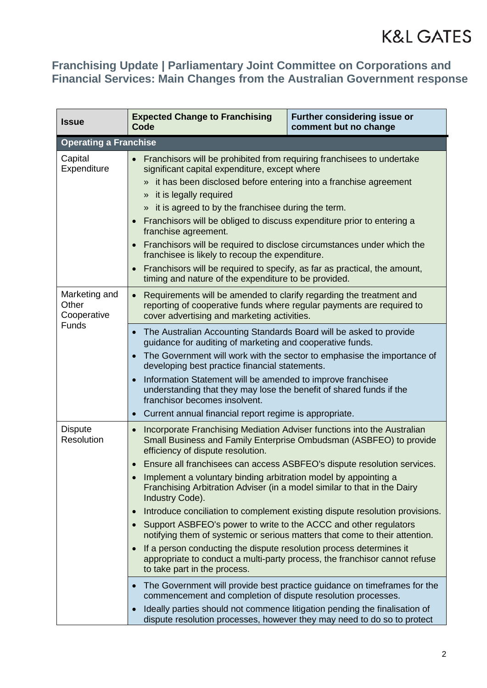| <b>Issue</b>                          | <b>Expected Change to Franchising</b><br>Code                                                                                                                                                                                                                                                                                                                                                                                                                                                                                                                                                                                                                                                                                                                                                                                                                                                                                                                                                                                                                                                                                                                                           | <b>Further considering issue or</b><br>comment but no change |  |  |
|---------------------------------------|-----------------------------------------------------------------------------------------------------------------------------------------------------------------------------------------------------------------------------------------------------------------------------------------------------------------------------------------------------------------------------------------------------------------------------------------------------------------------------------------------------------------------------------------------------------------------------------------------------------------------------------------------------------------------------------------------------------------------------------------------------------------------------------------------------------------------------------------------------------------------------------------------------------------------------------------------------------------------------------------------------------------------------------------------------------------------------------------------------------------------------------------------------------------------------------------|--------------------------------------------------------------|--|--|
| <b>Operating a Franchise</b>          |                                                                                                                                                                                                                                                                                                                                                                                                                                                                                                                                                                                                                                                                                                                                                                                                                                                                                                                                                                                                                                                                                                                                                                                         |                                                              |  |  |
| Capital<br>Expenditure                | Franchisors will be prohibited from requiring franchisees to undertake<br>$\bullet$<br>significant capital expenditure, except where<br>» it has been disclosed before entering into a franchise agreement<br>» it is legally required<br>» it is agreed to by the franchisee during the term.<br>Franchisors will be obliged to discuss expenditure prior to entering a<br>franchise agreement.<br>Franchisors will be required to disclose circumstances under which the<br>franchisee is likely to recoup the expenditure.<br>Franchisors will be required to specify, as far as practical, the amount,<br>timing and nature of the expenditure to be provided.                                                                                                                                                                                                                                                                                                                                                                                                                                                                                                                      |                                                              |  |  |
| Marketing and<br>Other<br>Cooperative | Requirements will be amended to clarify regarding the treatment and<br>reporting of cooperative funds where regular payments are required to<br>cover advertising and marketing activities.                                                                                                                                                                                                                                                                                                                                                                                                                                                                                                                                                                                                                                                                                                                                                                                                                                                                                                                                                                                             |                                                              |  |  |
| <b>Funds</b>                          | The Australian Accounting Standards Board will be asked to provide<br>guidance for auditing of marketing and cooperative funds.<br>The Government will work with the sector to emphasise the importance of<br>developing best practice financial statements.<br>Information Statement will be amended to improve franchisee<br>understanding that they may lose the benefit of shared funds if the<br>franchisor becomes insolvent.<br>Current annual financial report regime is appropriate.<br>$\bullet$                                                                                                                                                                                                                                                                                                                                                                                                                                                                                                                                                                                                                                                                              |                                                              |  |  |
| <b>Dispute</b><br>Resolution          | Incorporate Franchising Mediation Adviser functions into the Australian<br>$\bullet$<br>Small Business and Family Enterprise Ombudsman (ASBFEO) to provide<br>efficiency of dispute resolution.<br>Ensure all franchisees can access ASBFEO's dispute resolution services.<br>Implement a voluntary binding arbitration model by appointing a<br>Franchising Arbitration Adviser (in a model similar to that in the Dairy<br>Industry Code).<br>Introduce conciliation to complement existing dispute resolution provisions.<br>$\bullet$<br>Support ASBFEO's power to write to the ACCC and other regulators<br>notifying them of systemic or serious matters that come to their attention.<br>If a person conducting the dispute resolution process determines it<br>appropriate to conduct a multi-party process, the franchisor cannot refuse<br>to take part in the process.<br>The Government will provide best practice guidance on time frames for the<br>commencement and completion of dispute resolution processes.<br>Ideally parties should not commence litigation pending the finalisation of<br>dispute resolution processes, however they may need to do so to protect |                                                              |  |  |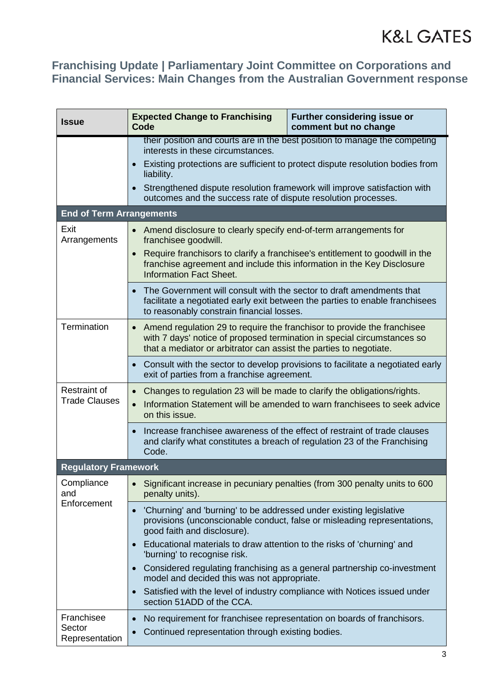| <b>Issue</b>                                | <b>Expected Change to Franchising</b><br>Code                                                                                                                                                                                                                                                                                                                | <b>Further considering issue or</b><br>comment but no change |  |  |  |
|---------------------------------------------|--------------------------------------------------------------------------------------------------------------------------------------------------------------------------------------------------------------------------------------------------------------------------------------------------------------------------------------------------------------|--------------------------------------------------------------|--|--|--|
|                                             | their position and courts are in the best position to manage the competing<br>interests in these circumstances.<br>Existing protections are sufficient to protect dispute resolution bodies from<br>liability.<br>Strengthened dispute resolution framework will improve satisfaction with<br>outcomes and the success rate of dispute resolution processes. |                                                              |  |  |  |
| <b>End of Term Arrangements</b>             |                                                                                                                                                                                                                                                                                                                                                              |                                                              |  |  |  |
| Exit<br>Arrangements                        | Amend disclosure to clearly specify end-of-term arrangements for<br>$\bullet$<br>franchisee goodwill.<br>Require franchisors to clarify a franchisee's entitlement to goodwill in the<br>$\bullet$<br>franchise agreement and include this information in the Key Disclosure<br><b>Information Fact Sheet.</b>                                               |                                                              |  |  |  |
|                                             | The Government will consult with the sector to draft amendments that<br>facilitate a negotiated early exit between the parties to enable franchisees<br>to reasonably constrain financial losses.                                                                                                                                                            |                                                              |  |  |  |
| Termination                                 | Amend regulation 29 to require the franchisor to provide the franchisee<br>$\bullet$<br>with 7 days' notice of proposed termination in special circumstances so<br>that a mediator or arbitrator can assist the parties to negotiate.                                                                                                                        |                                                              |  |  |  |
|                                             | Consult with the sector to develop provisions to facilitate a negotiated early<br>exit of parties from a franchise agreement.                                                                                                                                                                                                                                |                                                              |  |  |  |
| <b>Restraint of</b><br><b>Trade Clauses</b> | Changes to regulation 23 will be made to clarify the obligations/rights.<br>$\bullet$<br>Information Statement will be amended to warn franchisees to seek advice<br>on this issue.                                                                                                                                                                          |                                                              |  |  |  |
|                                             | Increase franchisee awareness of the effect of restraint of trade clauses<br>and clarify what constitutes a breach of regulation 23 of the Franchising<br>Code.                                                                                                                                                                                              |                                                              |  |  |  |
| <b>Regulatory Framework</b>                 |                                                                                                                                                                                                                                                                                                                                                              |                                                              |  |  |  |
| Compliance<br>and<br>Enforcement            | Significant increase in pecuniary penalties (from 300 penalty units to 600<br>penalty units).                                                                                                                                                                                                                                                                |                                                              |  |  |  |
|                                             | 'Churning' and 'burning' to be addressed under existing legislative<br>provisions (unconscionable conduct, false or misleading representations,<br>good faith and disclosure).                                                                                                                                                                               |                                                              |  |  |  |
|                                             | Educational materials to draw attention to the risks of 'churning' and<br>'burning' to recognise risk.                                                                                                                                                                                                                                                       |                                                              |  |  |  |
|                                             | Considered regulating franchising as a general partnership co-investment<br>model and decided this was not appropriate.                                                                                                                                                                                                                                      |                                                              |  |  |  |
|                                             | Satisfied with the level of industry compliance with Notices issued under<br>section 51ADD of the CCA.                                                                                                                                                                                                                                                       |                                                              |  |  |  |
| Franchisee<br>Sector<br>Representation      | No requirement for franchisee representation on boards of franchisors.<br>$\bullet$<br>Continued representation through existing bodies.                                                                                                                                                                                                                     |                                                              |  |  |  |